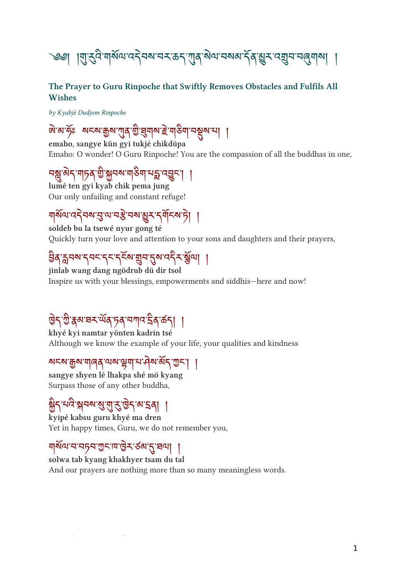# $\frac{1}{2}$ ା ମୁ $\frac{2}{3}$ ମାରାମ $\frac{1}{3}$ ମଣ ମଣ୍ଡୀରା ମ $\frac{1}{3}$ ରାମ $\frac{1}{3}$ ରାମ $\frac{1}{3}$ ମଣ୍ଡୀରା  $\frac{1}{3}$

#### The Prayer to Guru Rinpoche that Swiftly Removes Obstacles and Fulfils All Wishes

by Kyabjé Dudjom Rinpoche

### ་མ་ཧ ོ ཿ སངས་ས་ན་ ི་གས་ ེ་གག་བས་པ། །

emaho, sangye kün gyi tukjé chikdüpa Emaho: O wonder! O Guru Rinpoche! You are the compassion of all the buddhas in one,

### नञ्जूलन गार्ग राज्ञा भारत हो। ।

lumé ten gyi kyab chik pema jung Our only unfailing and constant refuge!

### <u> নাম্যান্ত্রসকলে (সমাজী স্থাপন)</u>

soldeb bu la tsewé nyur gong té Quickly turn your love and attention to your sons and daughters and their prayers,

### ३० ७५० २०२२ २२० तीन २०.५२ ई.त. |

jinlab wang dang ngödrub dü dir tsol Inspire us with your blessings, empowerments and siddhis—here and now!

### $\frac{1}{2}$  and  $\frac{1}{2}$  and  $\frac{1}{2}$  and  $\frac{1}{2}$  and  $\frac{1}{2}$

khyé kyi namtar yönten kadrin tsé Although we know the example of your life, your qualities and kindness

#### সম্পৰ্কুম শাৰ্ণ মেন্স ইশ সম্পন্স অৰ্স খ্ৰম্ব | |

sangye shyen lé lhakpa shé mö kyang Surpass those of any other buddha,

### <u> ह</u>ी भार भूमय सुराद्धित व स्वी |

kyipé kabsu guru khyé ma dren Yet in happy times, Guru, we do not remember you,

### ๚ุลนารายุราพิธาติราริตา (วิสฺเมฺ |

solwa tab kyang khakhyer tsam du tal And our prayers are nothing more than so many meaningless words.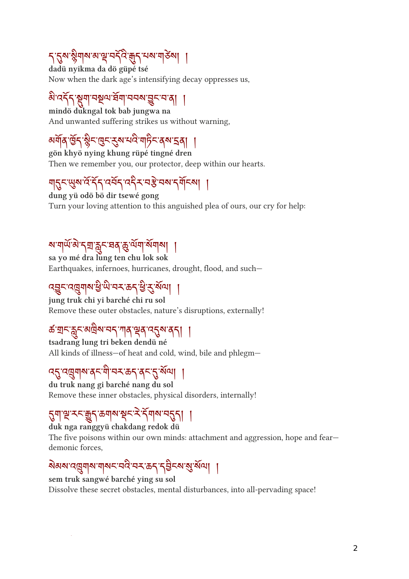### १३२३ अपना वास मनना हेत्री नया गोल्ला ।

dadü nyikma da dö güpé tsé Now when the dark age's intensifying decay oppresses us,

### नगरी हैगल्जनगरमा नगर हैर नजी |

mindö dukngal tok bab jungwa na And unwanted suffering strikes us without warning,

### མན་ ོ ད་ ི ང་ང་ས་པ་གང་ནས་ན། །

gön khyö nying khung rüpé tingné dren Then we remember you, our protector, deep within our hearts.

### 95 GAR SI RAJRA 45 AN JULA |

dung yü odö bö dir tsewé gong Turn your loving attention to this anguished plea of ours, our cry for help:

### সমানত পৰা জীৱন বৰ্ত জন্মন সমাজ ।

sa yo mé dra lung ten chu lok sok Earthquakes, infernoes, hurricanes, drought, flood, and such—

### $\mathcal{L}(\mathcal{A})$   $\mathcal{A}(\mathcal{A})$   $\mathcal{A}(\mathcal{A})$   $\mathcal{A}(\mathcal{A})$   $\mathcal{A}(\mathcal{A})$   $\mathcal{A}(\mathcal{A})$   $\mathcal{A}(\mathcal{A})$

jung truk chi yi barché chi ru sol Remove these outer obstacles, nature's disruptions, externally!

#### क बान बुन बाबल नने गोर्थ ईव स्टैल वर्ना ।

tsadrang lung tri beken dendü né All kinds of illness—of heat and cold, wind, bile and phlegm—

#### $\mathcal{A}^{\mathcal{A}}$   $\mathcal{A}^{\mathcal{A}}$   $\mathcal{A}^{\mathcal{A}}$   $\mathcal{A}^{\mathcal{A}}$   $\mathcal{A}^{\mathcal{A}}$   $\mathcal{A}^{\mathcal{A}}$   $\mathcal{A}^{\mathcal{A}}$   $\mathcal{A}^{\mathcal{A}}$   $\mathcal{A}^{\mathcal{A}}$   $\mathcal{A}^{\mathcal{A}}$   $\mathcal{A}^{\mathcal{A}}$   $\mathcal{A}^{\mathcal{A}}$   $\mathcal{A}^{\mathcal{A}}$   $\mathcal{A}^{\mathcal{A$

du truk nang gi barché nang du sol Remove these inner obstacles, physical disorders, internally!

#### <u> १ १ ६ ४२ और १२ २ २ १ १ २ २ १ ।</u>

duk nga ranggyü chakdang redok dü

The five poisons within our own minds: attachment and aggression, hope and fear demonic forces,

### ୬୭୬ ମୁଖିବାର ଏବଂ ମଧ୍ୟ ମଧ୍ୟ ନିର୍ବିଚ୍ଚା କି. ୬୯୮ |

sem truk sangwé barché ying su sol Dissolve these secret obstacles, mental disturbances, into all-pervading space!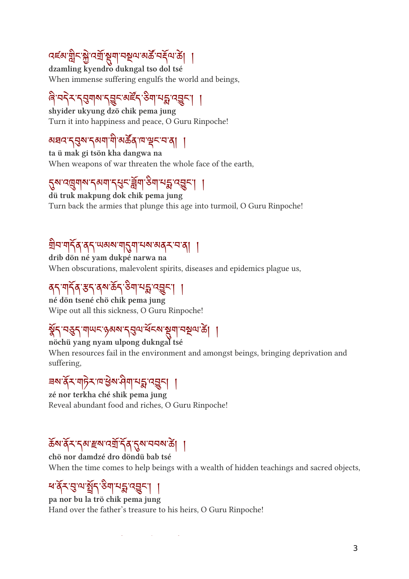### दह्ला प्लैर अस्ति हिंता नर्छन अकानदीन को |

dzamling kyendro dukngal tso dol tsé When immense suffering engulfs the world and beings,

#### बे नरेन रेसेनोल रेडी असरे रुती नृष्ठ उड़ी |

shyider ukyung dzö chik pema jung Turn it into happiness and peace, O Guru Rinpoche!

#### ञघद १३२ १२१। मानवलाम ३८ माने। ।

ta ü mak gi tsön kha dangwa na When weapons of war threaten the whole face of the earth,

#### १९ उम्रियान २००१ / २३ बना २०१ तक उन्हें ।

dü truk makpung dok chik pema jung Turn back the armies that plunge this age into turmoil, O Guru Rinpoche!

### <u>बान गा</u>री वेरी लवळ गाउँ गानक ववेर न वी ।

drib dön né yam dukpé narwa na When obscurations, malevolent spirits, diseases and epidemics plague us,

### | | |جحی نقی اسی میں اسلام اور اسلام اور اسلام کی اسلام کی اسلام کی اسلام کے اسلام کی اسلام کی اسلام کی اسلام ک

né dön tsené chö chik pema jung Wipe out all this sickness, O Guru Rinpoche!

### %) तुर्वेन गोलर हेवल रेटीज बर्टल की तुर्कात को

nöchü yang nyam ulpong dukngal tsé When resources fail in the environment and amongst beings, bringing deprivation and suffering,

### $\frac{1}{2}$ ରାଜିନା ଜଣା ଜଣା ନୁଷ୍କ $\frac{1}{2}$ ା

zé nor terkha ché shik pema jung Reveal abundant food and riches, O Guru Rinpoche!

### <u> จุล สูร วุล ธุล เริย 24 สูร สุสม ๆ |</u>

chö nor damdzé dro döndü bab tsé When the time comes to help beings with a wealth of hidden teachings and sacred objects,

#### न वेन तेल झैर रुत्र नर्भ उद्येरी ।

pa nor bu la trö chik pema jung Hand over the father's treasure to his heirs, O Guru Rinpoche!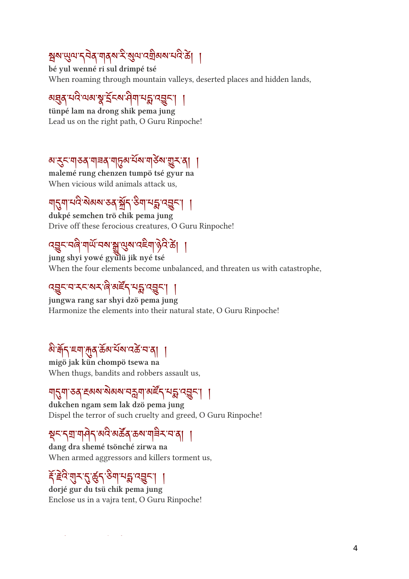### स्रिय सुम्न ११व मुक्किन सुम्न म्यान २० को ।

bé yul wenné ri sul drimpé tsé When roaming through mountain valleys, deserted places and hidden lands,

#### अञ्चल भव अञ्चल माना ने अन्वर्न ।

tünpé lam na drong shik pema jung Lead us on the right path, O Guru Rinpoche!

#### अर्उन्गुरुवे गनवे गठिवासयागरुवा किन्ने प

malemé rung chenzen tumpö tsé gyur na When vicious wild animals attack us,

### नारीना नार सवास २९ और २ना नारी उद्देश ।

dukpé semchen trö chik pema jung Drive off these ferocious creatures, O Guru Rinpoche!

#### $\mathcal{L}(\mathcal{A},\mathcal{B}) \sim \mathcal{L}(\mathcal{A})$  and  $\mathcal{L}(\mathcal{A})$  is a set of  $\mathcal{A}$

jung shyi yowé gyulü jik nyé tsé When the four elements become unbalanced, and threaten us with catastrophe,

#### $\mathcal{L}(\mathcal{A}\mathcal{B})\cup\mathcal{A}\cup\mathcal{A}$ ାର୍ଥ $\mathcal{L}(\mathcal{A}\cup\mathcal{B})$ ା

jungwa rang sar shyi dzö pema jung Harmonize the elements into their natural state, O Guru Rinpoche!

### ดู ฟุ) ะูฟ ฟิง ๑๑ รุฬ เรอ รู ๑ |

migö jak kün chompö tsewa na When thugs, bandits and robbers assault us,

#### ન||21||२०||स्वाय अव्यानकपाली अस्ती तृष्ठी ।

dukchen ngam sem lak dzö pema jung Dispel the terror of such cruelty and greed, O Guru Rinpoche!

### รีรุ่งสูงปรุงเริงอุจุจุฬาธุรุง 1

dang dra shemé tsönché zirwa na When armed aggressors and killers torment us,

#### इंदर सुरुद्धक्षेत्र रुग सङ्ख्या ।

dorjé gur du tsü chik pema jung Enclose us in a vajra tent, O Guru Rinpoche!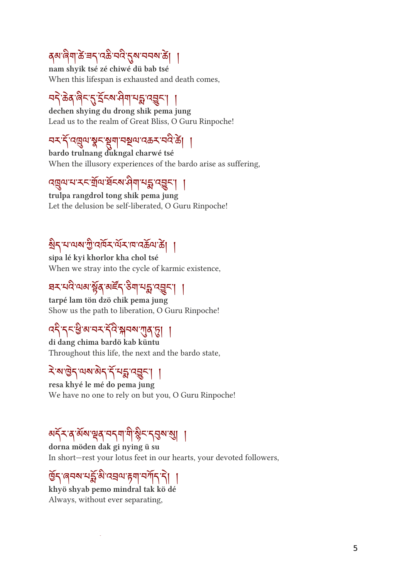#### $\mathsf{q}$ बा'बेगाऊँ'चन्''यऊै'मंदे'तुबायनबाऊँ| ।

nam shyik tsé zé chiwé dü bab tsé When this lifespan is exhausted and death comes,

### नर् कर्ण लेखा राज्य पश्च पश्चेत्र । ।

dechen shying du drong shik pema jung Lead us to the realm of Great Bliss, O Guru Rinpoche!

### <u>ล่า ไหล้ๆ มีอะไรเกษตรรษ</u><br>สาวไหล้ๆ มีอะไร

bardo trulnang dukngal charwé tsé When the illusory experiences of the bardo arise as suffering,

### उबीज रूसाल घटन की ने थे उन्हें ।

trulpa rangdrol tong shik pema jung Let the delusion be self-liberated, O Guru Rinpoche!

### สีว่า พลังโหว่ พราง เจตุลุติ |

sipa lé kyi khorlor kha chol tsé When we stray into the cycle of karmic existence,

### न्दर नद मन है। अस्त क्षा तर्कर । ।

tarpé lam tön dzö chik pema jung Show us the path to liberation, O Guru Rinpoche!

### $\frac{1}{2}$  $\frac{1}{2}$  $\frac{3}{2}$   $\frac{3}{2}$   $\frac{1}{2}$

di dang chima bardö kab küntu Throughout this life, the next and the bardo state,

### <u>< < السرائح المراكب المراكب المراكب المراكب المراكب المراكب المراكب المراكب المراكب المراكب المراكب المراكب ال</u>

resa khyé le mé do pema jung We have no one to rely on but you, O Guru Rinpoche!

## नेन बे नसाइवे नर्नना ना कैन स्वयं औ ।

dorna möden dak gi nying ü su In short—rest your lotus feet in our hearts, your devoted followers,

### <u>อาศาจาร์ขารสนธุ์สาวแปวไ |</u>

khyö shyab pemo mindral tak kö dé Always, without ever separating,